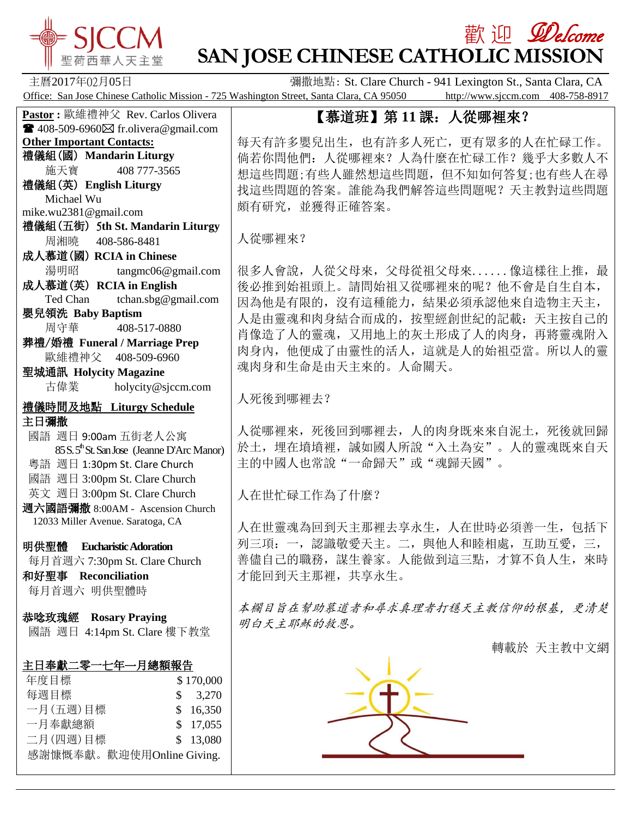

# **歡 迎** *Welcome* **SAN JOSE CHINESE CATHOLIC MISSION**

主曆2017年02月05日 **Ware Communist Clare Church - 941 Lexington St., Santa Clara, CA** Office: San Jose Chinese Catholic Mission - 725 Washington Street, Santa Clara, CA 95050 http://www.sjccm.com 408-758-8917

## 【慕道班】第 **11** 課:人從哪裡來?

每天有許多嬰兒出生,也有許多人死亡,更有眾多的人在忙碌工作。 倘若你問他們:人從哪裡來?人為什麼在忙碌工作?幾乎大多數人不 想這些問題;有些人雖然想這些問題,但不知如何答复;也有些人在尋 找這些問題的答案。誰能為我們解答這些問題呢?天主教對這些問題 頗有研究,並獲得正確答案。

人從哪裡來?

很多人會說,人從父母來,父母從祖父母來......像這樣往上推,最 後必推到始祖頭上。請問始祖又從哪裡來的呢?他不會是自生自本, 因為他是有限的,沒有這種能力,結果必須承認他來自造物主天主, 人是由靈魂和肉身結合而成的,按聖經創世紀的記載:天主按自己的 肖像造了人的靈魂,又用地上的灰土形成了人的肉身,再將靈魂附入 肉身內,他便成了由靈性的活人,這就是人的始祖亞當。所以人的靈 魂肉身和生命是由天主來的。人命關天。

人死後到哪裡去?

人從哪裡來,死後回到哪裡去,人的肉身既來來自泥土,死後就回歸 於土,埋在墳墳裡,誠如國人所說"入土為安"。人的靈魂既來自天 主的中國人也常說"一命歸天"或"魂歸天國"。

人在世忙碌工作為了什麼?

人在世靈魂為回到天主那裡去享永生,人在世時必須善一生,包括下 列三項:一,認識敬愛天主。二,與他人和睦相處,互助互愛,三, 善儘自己的職務,謀生養家。人能做到這三點,才算不負人生,來時 才能回到天主那裡,共享永生。

本欄目旨在幫助慕道者和尋求真理者打穩天主教信仰的根基,更清楚 明白天主耶穌的救恩。

轉載於 [天主教中文網](http://mp.weixin.qq.com/s?__biz=MjM5OTM5ODAxMg==&mid=2653787260&idx=7&sn=971543e72baafa4d0d258ebba8bcf6ba&chksm=bce52b6f8b92a279cf4a8fd566bf57dba58b21a42697dc222e1c0f65441201e3d34efbe07773&scene=0#wechat_redirect)



**Pastor :** 歐維禮神父 Rev. Carlos Olivera  $\mathbf{\widehat{P}}$  408-509-6960 $\boxtimes$  fr.olivera@gmail.com **Other Important Contacts:** 禮儀組(國) **Mandarin Liturgy** 施天寶 408 777-3565 禮儀組(英) **English Liturgy** Michael Wu mike.wu2381@gmail.com 禮儀組(五街) 5**th St. Mandarin Liturgy** 周湘曉 408-586-8481 成人慕道(國) **RCIA in Chinese** 湯明昭 tangmc06@gmail.com 成人慕道(英) **RCIA in English** Ted Chan tchan.sbg@gmail.com 嬰兒領洗 **Baby Baptism** 周守華 408-517-0880 葬禮/婚禮 **Funeral / Marriage Prep** 歐維禮神父 408-509-6960 聖城通訊 **Holycity Magazine** 古偉業 [holycity@sjccm.com](mailto:holycity@sjccm.com) 禮儀時間及地點 **Liturgy Schedule** 主日彌撒 國語 週日 9:00am 五街老人公寓  $85 S. 5<sup>th</sup>$ St. San Jose (Jeanne D'Arc Manor) 粵語 週日 1:30pm St. Clare Church 國語 週日 3:00pm St. Clare Church 英文 週日 3:00pm St. Clare Church 週六國語彌撒 8:00AM - Ascension Church 12033 Miller Avenue. Saratoga, CA 明供聖體 **Eucharistic Adoration** 每月首週六 7:30pm St. Clare Church 和好聖事 **Reconciliation** 每月首週六 明供聖體時 恭唸玫瑰經 **Rosary Praying** 國語 週日 4:14pm St. Clare 樓下教堂 主日奉獻二零一七年一月總額報告 年度目標 <br>
\$ 170,000 每週目標 \$ 3.270 一月(五週)目標 \$ 16,350

二月(四週)目標 \$ 13,080 感謝慷慨奉獻。歡迎使用Online Giving.

一月奉獻總額 \$ 17,055